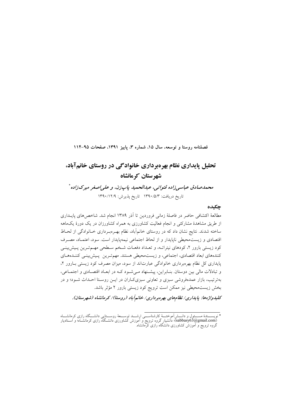فصلنامه روستا و توسعه، سال ١۵، شماره ٣، پاییز ١٣٩١، صفحات ٩٥-١١۴

# تحلیل پایداری نظام بهرهبرداری خانوادگی در روستای خانمآباد، شهر ستان کر مانشاه

محمدصادق عباسیiراده قنواتی، عبدالحمید یاپزن، و علی|صغر میرکزاده \* تاريخ دريافت: ١٣٩٠/٥/٣ تاريخ پذيرش: ١٣٩٠/١٢/٩

## چکیده

مطالعهٔ اکتشافی حاضر در فاصلهٔ زمانی فروردین تا آذر ۱۳۸۹ انجام شد. شاخص های پایـداری از طریق مشاهدهٔ مشارکتبی و انجام فعالیت کشاورزی به همراه کشاورزان در یک دورهٔ یکماهه ساخته شدند. نتایج نشان داد که در روستای خانمآباد، نظام بهـرهبـرداری خـانوادگی از لحـاظ اقتصادی و زیست محیطی ناپایدار و از لحاظ اجتماعی نیمهپایدار است. سود، اعتمـاد، مصـرف کود زیستی بارور ۲، کودهای نیتراتـه، و تعـداد دفعـات شـخم سـطحی مهـمتـرین پـیشبینـی کنندههای ابعاد اقتصادی، اجتماعی، و زیستمحیطی هستند. مهم تـرین پـیش بینـی کننـدههـای پایداری کل نظام بهرهبرداری خانوادگی عبارتاند از سود، میزان مصرف کود زیستی بـارور ۲، و تبادلات مالی بین دوستان. بنـابراین، پیشـنهاد مـیشـود کـه در ابعـاد اقتصـادی و اجتمـاعی، بهترتیب، بازار عمدهفروشی سبزی و تعاونی سبزیکاران در ایــن روسـتا احــداث شــود؛ و در بخش زیست¤حیطی نیز ممکن است ترویج کود زیستی بارور ۲ مؤثر باشد.

کلیدواژهها: پایداری/نظامهای بهرهبرداری/ خانمآباد (روستا)/ کرمانشاه (شهرستان).

ویســــندهٔ مســــئول و دانــــش]موختــــهٔ کارشناســـــی ارشــــد توســــعهٔ روســــتایی دانشـــگاه رازی کرمانشــــاه<br>(sabbasy63@gmail.com)؛ دانشیار گروه ترویج و اموزش کشاورزی دانشــگاه رازی کرمانشــاه؛ و اســتادیار<br>گروه \* نويســ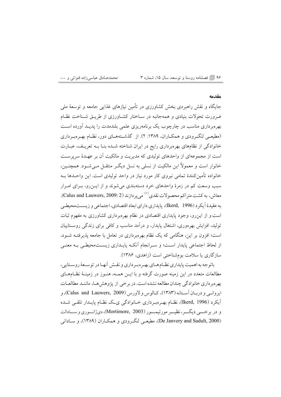۹۶ @ فصلنامه روستا و توسعه، سال ۱۵، شماره ۳

#### مقدمه

جایگاه و نقش راهبردی بخش کشاورزی در تأمین نیازهای غذایی جامعه و توسعهٔ ملی ضرورت تحولات بنیادی و همهجانبه در سـاختار کشـاورزی از طریـق شـناخت نظـام بهرهبرداری مناسب در چارچوب یک برنامهریزی علمی بلندمدت را یدیـد آورده اسـت (مطیعے لنگ ودی و همکـاران، ۱۳۸۹: ۲). از گذشـتههـای دور، نظـام بهـروبـرداری خانوادگی از نظامهای بهرهبرداری رایج در ایران شناخته شـده بنـا بـه تعریـف، عبـارت است از مجموعهای از واحدهای تولیدی که مدیریت و مالکیت آن بر عهـدهٔ سرپرسـت خانوار است و معمولاً این مالکیت از نسلی به نسل دیگـر منتقـل مـیشـود. همچنـین، خانواده تأمینکنندهٔ تمامی نیروی کار مورد نیاز در واحد تولیدی است. این واحـدها بـه سبب وسعت کم در زمرهٔ واحدهای خرد دستهبندی میشوند و از ایــن(و، بـرای امـرار معاش، به کشت متراکم محصولات نقدي<sup>(۱)</sup> میپردازند (Calus and Lauwers, 2009: 2). به عقيدهٔ أيكر د (Ikerd, 1996)، پايداري داراي ابعاد اقتصادي، اجتماعي و زيســتمحيطـي است و از این رو، وجود پایداری اقتصادی در نظام بهرهبرداری کشاورزی به مفهوم ثبات تولید، افزایش بهرهوری، اشتغال پایدار، و درآمد مناسب و کافی برای زندگی روســتاییان است؛ افزون بر این، هنگامی که یک نظام بهرهبرداری در تعامل با جامعه پذیرفتــه شــود، از لحاظ اجتماعی پایدار است؛ و سـرانجام آنکـه پایـداری زیسـتمحیطـی بـه معنـی سازگاري يا سلامت بومشناختي است (زاهدي، ۱۳۸۶).

باتوجه به اهمیت پایداری نظـام هـای بهـره بـرداری و نقـش أنهـا در توسـعهٔ روسـتایی، مطالعات متعدد در این زمینه صورت گرفته و با ایــن همــه، هنــوز در زمینــهٔ نظــامهــای بهرهبرداری خانوادگی چندان مطالعه نشده است. در برخی از پژوهش هـا، ماننـد مطالعـات ايروانسي و دربـان آســتانه (١٣٨٣)، كــالوس و لاورس (Calus and Lauwers, 2009)، و آيکرد (Ikerd, 1996)، نظـام بهـروبـرداري خــانوادگي ي\_ک نظـام پايــدار تلقـي شــده و در برخـــي ديگـــر، نظيـــر مورتيمـــور (Mortimore, 2003)، دي ژانــوري و ســـادالت (De Janvery and Sadult, 2000)، مطیعـی لنگـرودی و همکـاران (۱۳۸۹)، و سـاداتی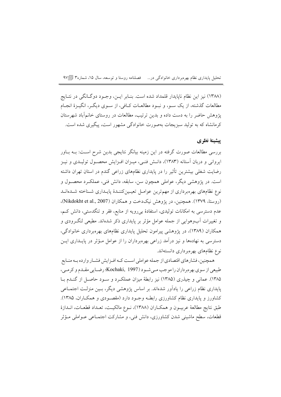تحلیل پایداری نظام بهرهبرداری خانوادگی در... فصلنامه روستا و توسعه، سال ۱۵، شماره۳ [=۹۷

(۱۳۸۸) نیز این نظام ناپایدار قلمداد شده است. بنـابر ایــن، وجـود دوگـانگی در نتـایج مطالعات گذشته، از یک سـو، و نبـود مطالعـات کــافی، از سـوی دیگـر، انگیـزهٔ انجـام پژوهش حاضر را به دست داده و بدین ترتیب، مطالعات در روستای خانمآباد شهرستان کرمانشاه که به تولید سبزیجات بهصورت خانوادگی مشهور است، پیگیری شده است.

# ييشينة نظري

بررسی مطالعات صورت گرفته در این زمینه بیانگر نتایجی بدین شرح اسـت: بــه بــاور ایروانی و دربان آستانه (۱۳۸۳)، دانـش فنـی، میـزان افـزایش محصـول تولیـدی و نیـز رضایت شغلی بیشترین تأثیر را در پایداری نظامهای زراعی گندم در استان تهران داشته است. در پژوهشی دیگر، عواملی همچون سن، سابقه، دانش فنی، عملکـرد محصـول و نوع نظامهای بهرهبرداری از مهمترین عوامـل تعیـینکننـدهٔ پایـداری شـناخته شـدهانـد (روستا، ۱۳۷۹). همچنین، در پژوهش نیکدخت و همکاران (Nikdokht et al., 2007). عدم دسترسی به امکانات تولیدی، استفادهٔ بی رویه از منابع، فقر و تنگدستی، دانش کـم، و تغییرات آبوهوایی از جمله عوامل مؤثر بر پایداری ذکر شدهاند. مطیعی لنگـرودی و همکاران (۱۳۸۹)، در پژوهشی پیرامون تحلیل پایداری نظامهای بهرهبرداری خانوادگی، دسترسی به نهادهها و نیز درآمد زراعی بهرهبرداران را از عوامل مـؤثر در پایــداری ایــن نوع نظامهای بهرهبرداری دانستهاند.

همچنین، فشارهای اقتصادی از جمله عواملی است کـه افـزایش فشـار وارده بـه منـابع طبیعی از سوی بهرهبرداران را موجب می شـود (Kochaki, 1997)؛ رضـایی مقـدم و کرمـی، ۱۳۸۵). عمانی و چیذری (۱۳۸۵) نیز رابطهٔ میزان عملک رد و سـود حاصـل از گنـدم بـا پایداری نظام زراعی را یادآور شدهاند. بر اساس پژوهشی دیگر، بـین منزلـت اجتمـاعی کشاورز و پایداری نظام کشاورزی رابطـه وجـود دارد (مقصـودی و همکـاران، ۱۳۸۵). طبق نتايج مطالعهٔ عربيــون و همكــاران (١٣٨٨)، نــوع مالكيــت، تعــداد قطعــات، انــدازهٔ قطعات، سطح ماشینی شدن کشاورزی، دانش فنی، و مشارکت اجتمـاعی عــواملی مــؤثر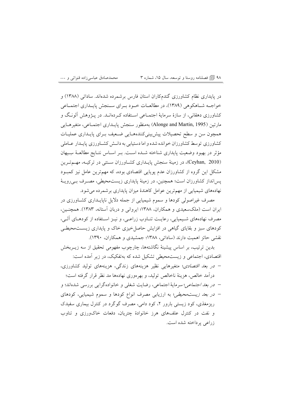۹۸ ١١) قصلنامه روستا و توسعه، سال ۱۵، شماره ۳

محمدصادق عباسیزاده قنواتی و …

در پایداری نظام کشاورزی گندمکاران استان فارس برشمرده شدهاند. ساداتی (۱۳۸۸) و خواجــه شــاهکوهي (۱۳۸۹)، در مطالعــات خــود بــراي ســنجش پايــداري اجتمــاعي کشاورزی دهقانی، از سازهٔ سرمایهٔ اجتمـاعی اسـتفاده کـردهانـد. در پـژوهش آلونـگ و مارتين (Alonge and Martin, 1995) بهمنظور سنجش پايــداري اجتمــاعي، متغيرهــايي همچون سن و سطح تحصیلات پیشبینیکنندههـایی ضـعیف بـرای پایـداری عملیـات کشاورزی توسط کشاورزان خوانده شده و اما دستیابی به دانـش کشـاورزی پایـدار عـاملی مؤثر در بهبود وضعیت پایداری شناخته شـده اسـت. بـر اسـاس نتـایج مطالعـهٔ سِـیهان (Ceyhan, 2010)، در زمینهٔ سنجش پایـداری کشـاورزان سـنتی در ترکیـه، مهـمتـرین مشکل این گروه از کشاورزان عدم پویایی اقتصادی بوده، که مهمترین عامل نیز کمبـود پسانداز کشاورزان است؛ همچنین، در زمینهٔ پایداری زیستمحیطی، مصـرف بـیرویــهٔ نهادههای شیمیایی از مهمترین عوامل کاهندهٔ میزان پایداری برشمرده می شود.

مصرف غیراصولی کودها و سموم شیمیایی از جمله دلایل ناپایـداری کشـاورزی در ایران است (ملکسعیدی و همکاران، ۱۳۸۸؛ ایروانی و دربان آستانه، ۱۳۸۳). همچنـین، مصرف نهادههای شـیمیایی، رعایـت تنــاوب زراعــی، و نیــز اســتفاده از کودهــای اَلــی، کودهای سبز و بقایای گیاهی در افزایش حاصل خیزی خاک و پایداری زیستمحیطے نقشی حائز اهمیت دارند (ساداتی، ۱۳۸۸؛ جمشیدی و همکاران، ۱۳۹۰).

بدین ترتیب، بر اساس پیشینهٔ نگاشتهها، چارچوب مفهومی تحقیق از سه زیــربخش اقتصادی، اجتماعی و زیستمحیطی تشکیل شده که بهتفکیک، در زیر آمده است:

– *در بعد اقتصادی*؛ متغیرهایی نظیر هزینههای زندگی، هزینههای تولید کشاورزی، درآمد خالص، هزینهٔ ناخالص تولید، و بهرهوری نهادهها مد نظر قرار گرفته است؛

– در بع*د اجتماعي*؛ سرمايهٔ اجتماعي، رضايت شغلي و خانواده گرايي بررسي شدهاند؛ و – *در بعد زیست محیطی*؛ به ارزیابی مصرف انواع کودها و سموم شیمیایی، کودهای ریزمغذی، کود زیستی بارور ۲، کود دامی، مصرف گوگرد در کنترل بیماری سفیدک و نفت در کنترل علفهای هرز خانوادهٔ چتریان، دفعات خاکورزی و تناوب زراعی یرداخته شده است.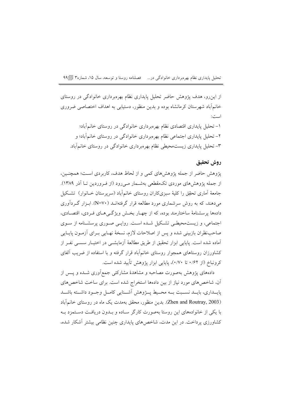تحلیل پایداری نظام بهرهبرداری خانوادگی در... فصلنامه روستا و توسعه، سال ۱۵، شماره۳ [4۹]

از این٫و، هدف پژوهش حاضر تحلیل پایداری نظام بهرهبرداری خانوادگی در روستای خانمآباد شهرستان کرمانشاه بوده و بدین منظور، دستیابی به اهداف اختصاصی ضروری است:

۱– تحلیل پایداری اقتصادی نظام بهرهبرداری خانوادگی در روستای خانمآباد؛ ۲– تحلیل پایداری اجتماعی نظام بهرهبرداری خانوادگی در روستای خانمآباد؛ و ۳– تحلیل پایداری زیستمحیطی نظام بهرهبرداری خانوادگی در روستای خانمآباد.

# روش تحقيق

يژوهش حاضر از جمله يژوهش هاي كمي و از لحاظ هدف، كاربردي است؛ همچنـين، از جمله یژوهش های موردی تکمقطعی بهشـمار مـی رود (از فـروردین تــا اَذر ۱۳۸۹). جامعهٔ آماری تحقِّق را کلیهٔ سبزیکاران روستای خانمآباد (سرپرستان خــانوار) ً تشــکیل می،دهند، که به روش سرشماری مورد مطالعه قرار گرفتهانــد ( N=V۰). ابـزار گــردآوری دادهها پرسشنامهٔ ساختارمند بوده، که از چهـار بخـش ویژگـی۵حـای فـردی، اقتصـادی، اجتماعی، و زیستمحیطی تشکیل شـده اسـت. روایـی صـوری پرسشـنامه از سـوی صاحبنظران بازبینی شده و پس از اصلاحات لازم، نسخهٔ نهـایی بـرای آزمـون پایـایی آماده شده است. پایایی ابزار تحقیق از طریق مطالعهٔ آزمایشــی در اختیــار سســی نفــر از کشاورزان روستاهای همجوار روستای خانمآباد قرار گرفته و با استفاده از ضریب آلفای کرونباخ (از ۰/۶۲ تا ۰/۷۰)، پایایی ابزار پژوهش تأیید شده است.

دادههای یژوهش بهصورت مصاحبه و مشاهدهٔ مشارکتی جمع[وری شــده و یــس از آن، شاخصهای مورد نیاز از بین دادهها استخراج شده است. برای ساخت شاخصهای يايــداري، بايــد نســبت بــه محــيط يــــزوهش أشـــنايي كامــل وجــود داشـــته باشــد (Zhen and Routray, 2003). بدین منظور، محقق بهمدت یک ماه در روستای خانمآباد با یکی از خانوادههای این روستا بهصورت کارگر سـاده و بــدون دریافـت دســتمزد بــه کشاورزی پرداخت. در این مدت، شاخص های پایداری چنین نظامی بیشتر آشکار شده،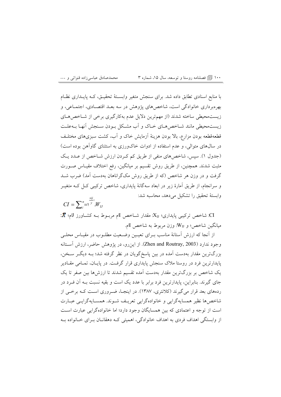محمدصادق عباسىزاده قنواتى و ... ۱۰۰ | آیا فصلنامه روستا و توسعه، سال ۱۵، شماره ۳

با منابع اسنادی تطابق داده شد. برای سنجش متغیر وابستهٔ تحقیـق، کـه پایـداری نظـام بهرهبرداری خانوادگی است، شاخصهای پژوهش در سه بعـد اقتصـادی، اجتمـاعی، و زیست محیطی ساخته شدند (از مهم ترین دلایل عدم بهکارگیری برخی از شـاخص هـای زیست.حیطی مانند شـاخصهای خـاک و آب مشـکل بـودن سـنجش آنهـا بــهعلـت قطعهقطعه بودن مزارع، بالا بودن هزينهٔ آزمايش خاک و آب، کشت سبزىهاى مختلـف در سال@ای متوالی، و عدم استفاده از ادوات خاکورزی به استثنای گاوآهن بوده است) (جدول ۱). سپس، شاخصهای منفی از طریق کم کردن ارزش شـاخص از عـدد یـک مثبت شدند. همچنین، از طریق روش تقسیم بر میانگین، رفع اختلاف مقیـاس صــورت گرفت و در وزن هر شاخص (که از طریق روش مکگراناهان بهدست آمد) ضرب شــد و سرانجام، از طریق اَمارهٔ زیر در ابعاد سهگانهٔ پایداری، شاخص ترکیبی کـل کــه متغیــر وابستهٔ تحقیق را تشکیل میدهد، محاسبه شد:  $CI = \sum_{i=1}^{n} \sum_{j=1}^{\frac{xy}{y}} W_{ii}$ 

CI: شاخص تركيبي پايداري؛ XI: مقدار شــاخص lًام مربــوط بــه كشــاورز لام؛ X: ميانگين شاخص؛ و W<sub>IJ</sub>: وزن مربوط به شاخص Iام.

از آنجا كه ارزش آستانهٔ مناسب بـرای تعیـین وضـعیت مطلـوب در مقیـاس محلـی وجود ندارد (Zhen and Routray, 2003). از این رو، در یژوهش حاضر، ارزش آسـتانه بزرگترین مقدار بهدست آمده در بین پاسخگویان در نظر گرفته شد؛ بــه دیگــر ســخن، پایدارترین فرد در روستا ملاک سنجش پایداری قرار گرفت. در پایـان، تمـامی مقـادیر یک شاخص بر بزرگترین مقدار بهدست آمده تقسیم شدند تا ارزش ها بین صفر تا یک جای گیرند. بنابراین، پایدارترین فرد برابر با عدد یک است و بقیه نسبت بـه آن فـرد در ردههای بعد قرار می گیرند (کلانتری، ۱۳۸۷). در اینجـا، ضـروری اسـت کــه برخــی از شاخصها نظير همسايهگرايي و خانوادهگرايي تعريـف شـوند. همسـايهگرايـبي عبـارت است از توجه و اعتمادي كه بين همسايگان وجود دارد؛ اما خانوادهگرايي عبارت است از وابستگی اهداف فردی به اهداف خانوادگی، اهمیتی کـه دهقانـان بـرای خـانواده بـه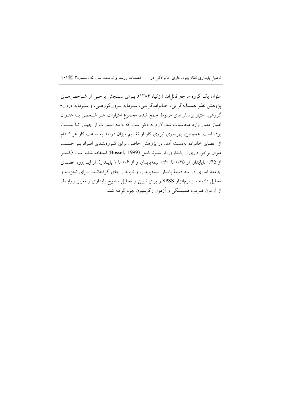تحلیل پایداری نظام بهرهبرداری خانوادگی در… فصلنامه روستا و توسعه، سال ۱۵، شماره۳ [1۰۱]

عنوان یک گروه مرجع قائل|ند (ازکیا، ۱۳۸۴). بـرای سـنجش برخــی از شــاخص۵حـای يژوهش نظير همسايهگرايي، خــانوادهگرايــي، ســرمايهٔ بــرونگروهــي، و ســرمايهٔ درون-گروهی، امتیاز پرسشهای مربوط جمع شده، مجموع امتیازات هـر شـخص بـه عنــوان امتیاز معیار وارد محاسبات شد. لازم به ذکر است که دامنهٔ امتیازات از چهـار تــا بیســت بوده است. همچنین، بهرهوری نیروی کار از تقسیم میزان درآمد به ساعت کار هر کـدام از اعضای خانواده بهدست آمد. در پژوهش حاضر، برای گروهبندی افـراد بـر حسـب میزان برخورداری از پایداری، از شیوهٔ باسل (Bossel, 1999) استفاده شده است (کمتـر از ۰/۴۵ نایایدار، از ۰/۴۵ تا ۰/۶۰ نیمهپایدار، و از ۰/۶ تا ۱ پایـدار). از ایـن رو، اعضـای جامعهٔ آماری در سه دستهٔ پایدار، نیمهپایدار، و ناپایدار جای گرفتهانـد. بـرای تجزیــه و تحلیل دادهها، از نرمافزار SPSS و برای تبیین و تحلیل سطوح پایداری و تعیین روابـط، از اَزمون ضریب همبستگی و اَزمون رگرسیون بهره گرفته شد.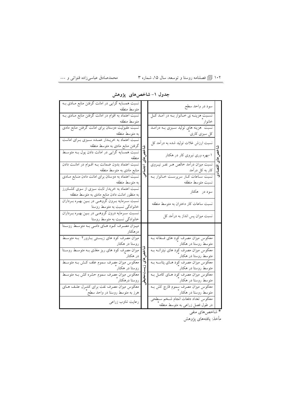۱۰۲ <u>『</u> فصلنامه روستا و توسعه، سال ۱۵، شماره ۳ ٬ مصمد مصدصادق عباسیزاده قنواتی و …

| نسبت همسایه گرایی در امانت گرفتن منابع مـادی بـه<br>سود در واحد سطح<br>متوسط منطقه<br>نسبت اعتماد به اقوام در امانت گرفتن منابع مـادی بـه<br>نســبت هزينــه ي خــانوار بــه در اَمــد كــل<br>خانوار <sup>"</sup> ____<br>متوسط منطقه<br>نسبت مقبولیت دوستان برای امانت گرفتن منابع مادی<br>کل سبزی کاری<br>به متوسط منطقه<br>نسبت اعتماد به خریـدار عمـده سـبزی بـرای امانـت<br>نسبت ارزش غلات تولید شده به درآمد کل<br>گرفتن منابع مادی به متوسط منطقه<br>نسبت همسایه گرایی در امانت دادن پول بـه متوسـط<br>۱–بهره وری نیروی کار در هکتار<br>منطقه<br>نسبت اعتما <mark>د بدون ضمانت بــه اقــوام در امانــت دادن</mark><br>نسبت میزان درآمد خالص هــر نفــر نیــروی<br>کار به کل درآمد<br>منابع مادی به متوسط منطقه<br>نسبت اعتماد به دوستان برای امانت دادن منـابع مـادی<br>.<br>نسبت سـاعات كـار سرپرسـت خـانوار بــه<br>نسبت متوسط منطقه<br>به متوسط منطقه<br>نسبت اعتماد به خریدار ثابت سبزی از سوی کشــاورز<br>سود در ہکتار<br>به منظور امانت دادن منابع مادی به متوسط منطقه<br>نسبت سـرمايه بـرون گروهـي در بـين بهـره بـرداران<br>نسبت ساعات کار دختران به متوسط منطقه<br>خانوادگی نسبت به متوسط روستا<br>نسبت سرمایه درون گروهمی در بمین بهره برداران<br>نسبت میزان پس انداز به درآمد کل<br>خانوادگی نسبت به متوسط روستا |
|------------------------------------------------------------------------------------------------------------------------------------------------------------------------------------------------------------------------------------------------------------------------------------------------------------------------------------------------------------------------------------------------------------------------------------------------------------------------------------------------------------------------------------------------------------------------------------------------------------------------------------------------------------------------------------------------------------------------------------------------------------------------------------------------------------------------------------------------------------------------------------------------------------------------------------------------------------------------------------------------------------------------------------------------------------------------------------------------------------------------------------------------------------------------------------------------------------------------------------|
|                                                                                                                                                                                                                                                                                                                                                                                                                                                                                                                                                                                                                                                                                                                                                                                                                                                                                                                                                                                                                                                                                                                                                                                                                                    |
|                                                                                                                                                                                                                                                                                                                                                                                                                                                                                                                                                                                                                                                                                                                                                                                                                                                                                                                                                                                                                                                                                                                                                                                                                                    |
|                                                                                                                                                                                                                                                                                                                                                                                                                                                                                                                                                                                                                                                                                                                                                                                                                                                                                                                                                                                                                                                                                                                                                                                                                                    |
|                                                                                                                                                                                                                                                                                                                                                                                                                                                                                                                                                                                                                                                                                                                                                                                                                                                                                                                                                                                                                                                                                                                                                                                                                                    |
|                                                                                                                                                                                                                                                                                                                                                                                                                                                                                                                                                                                                                                                                                                                                                                                                                                                                                                                                                                                                                                                                                                                                                                                                                                    |
|                                                                                                                                                                                                                                                                                                                                                                                                                                                                                                                                                                                                                                                                                                                                                                                                                                                                                                                                                                                                                                                                                                                                                                                                                                    |
|                                                                                                                                                                                                                                                                                                                                                                                                                                                                                                                                                                                                                                                                                                                                                                                                                                                                                                                                                                                                                                                                                                                                                                                                                                    |
|                                                                                                                                                                                                                                                                                                                                                                                                                                                                                                                                                                                                                                                                                                                                                                                                                                                                                                                                                                                                                                                                                                                                                                                                                                    |
|                                                                                                                                                                                                                                                                                                                                                                                                                                                                                                                                                                                                                                                                                                                                                                                                                                                                                                                                                                                                                                                                                                                                                                                                                                    |
|                                                                                                                                                                                                                                                                                                                                                                                                                                                                                                                                                                                                                                                                                                                                                                                                                                                                                                                                                                                                                                                                                                                                                                                                                                    |
| میــزان مصــرف کــود هــای دامــی بــه متوســط روســتا<br>درهكتار                                                                                                                                                                                                                                                                                                                                                                                                                                                                                                                                                                                                                                                                                                                                                                                                                                                                                                                                                                                                                                                                                                                                                                  |
| میزان مصرف کود های زیستی بـارور۲ بـه متوسـط<br>معکوس میزان مصرف کود های فسفاته بـه<br>متوسط روستا در هکتار آ<br>روستا در هکتار                                                                                                                                                                                                                                                                                                                                                                                                                                                                                                                                                                                                                                                                                                                                                                                                                                                                                                                                                                                                                                                                                                     |
| میزان مصرِف کود های ریز مغذی بـه متوسـط روسـتا<br>معکوس میزان مصرف کود های نیتراتــه بــه<br>متوسط روستا در هکتار ٔ<br>در هکتار                                                                                                                                                                                                                                                                                                                                                                                                                                                                                                                                                                                                                                                                                                                                                                                                                                                                                                                                                                                                                                                                                                    |
| <mark>معکوس میزان مصرف سموم علف کش بـه متوسـط</mark><br>معکوس میزان مصرف کود هـای پتاســه بــه<br>روستا در هکتار ٔ<br>متوسط روستا در هکتار ٔ                                                                                                                                                                                                                                                                                                                                                                                                                                                                                                                                                                                                                                                                                                                                                                                                                                                                                                                                                                                                                                                                                       |
| <mark>معکوس میزان مصرف سموم حشره کش بـه متوسـط</mark><br>معکوس میزان مصرف کود هـای کامـل بـه<br>روستا درهکتار آ<br>متوسط روستا در هکتار ٌ                                                                                                                                                                                                                                                                                                                                                                                                                                                                                                                                                                                                                                                                                                                                                                                                                                                                                                                                                                                                                                                                                          |
| معکوس میزان مصرف نفت برای کنتـرل علـف هـای<br>معکوس میزان مصرف سموم قارچ کش بــه<br>متوسط روستا در هکتار ٌ<br>هرز به متوسط روستا در واحد سطح                                                                                                                                                                                                                                                                                                                                                                                                                                                                                                                                                                                                                                                                                                                                                                                                                                                                                                                                                                                                                                                                                       |
| معكوس تعداد دفعات انجام شخم سطحي<br>رعایت تناوب زراعی<br>در طول فصل زراعی به متوسط منطقه ً                                                                                                                                                                                                                                                                                                                                                                                                                                                                                                                                                                                                                                                                                                                                                                                                                                                                                                                                                                                                                                                                                                                                         |

### جدول ۱– شاخصهای پژوهش

ای دید.<br>\* شاخصهای منفی

مأخذ: يافتههاى پژوهش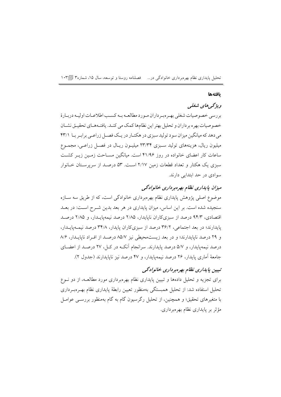تحلیل پایداری نظام بهرهبرداری خانوادگی در… فصلنامه روستا و توسعه، سال ۱۵، شماره۳ [@۱۰۳

#### بافتهها

# ويژگه های شغلی

بررسي خصوصيات شغلي بهـرهبـرداران مـورد مطالعـه بـه كسـب اطلاعـات اوليـه دربـارهٔ خصوصیات بهره برداران و تحلیل بهتر این نظامها کمک می کنـد. یافتـههـای تحقیـق نشـان می دهد که میانگین میزان سود تولید سبزی در هکتـار در یـک فصـل زراعـی برابـر بـا ۴۳/۱ میلیون ریال، هزینههای تولید سـبزی ۲۳/۳۴ میلیـون ریـال در فصـل زراعـی، مجمـوع ساعات کار اعضای خانواده در روز ۴۱/۹۶ است. میانگین مسـاحت زمـین زیـر کشـت سبزی یک هکتار و تعداد قطعات زمین ۲/۱۷ است. ۵۳ درصـد از سرپرسـتان خـانوار سوادی در حد ابتدایی دارند.

## میزان یابداری نظام بهرهبرداری خانوادگی

موضوع اصلی پژوهش پایداری نظام بهرهبرداری خانوادگی است، که از طریق سه ســازه سنجیده شده است. بر این اساس، میزان پایداری در هر بعد بدین شـرح اسـت: در بعـد اقتصادی، ۹۴/۳ درصد از سبزیکاران نایایدار، ۲/۸۵ درصد نیمهپایـدار، و ۲/۸۵ درصـد پایدارند؛ در بعد اجتماعی، ۳۶/۲ درصد از سبزیکاران پایدار، ۳۴/۸ درصد نیمهپایـدار، و ٢٩ درصد نايايدارند؛ و در بعد زيست محيطي نيز ٨٥/٧ درصد از افـراد نايايـدار، ٨/۶ درصد نیمهپایدار، و ۵/۷ درصد پایدارند. سرانجام آنکـه در کــل، ۲۷ درصــد از اعضــای جامعة آماري يايدار، ٢۶ درصد نيمهيايدار، و ۴۷ درصد نيز نايايدارند (جدول ٢).

# تېپين ياپدارې نظام بهرهېردارې خانوادگې

برای تجزیه و تحلیل دادهها و تبیین پایداری نظام بهرهبرداری مورد مطالعـه، از دو نــوع تحلیل استفاده شد: از تحلیل همبستگی بهمنظور تعیین رابطهٔ پایداری نظام بهـرهبـرداری با متغیرهای تحقیق؛ و همچنین، از تحلیل رگرسیون گام به گام بهمنظور بررســی عوامــل مؤثر بر پایداری نظام بهرهبرداری.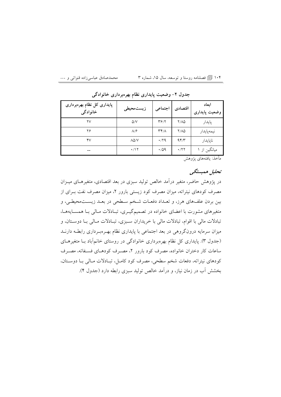محمدصادق عباسىزاده قنواتى و … ۱۰۴ | آی فصلنامه روستا و توسعه، سال ۱۵، شماره ۳

| پایداری کل نظام بهرەبرداری<br>خانوادگی | زيستمحيطى             | اجتماعي                           | اقتصادى       | ابعاد<br>وضعيت پايدارى |
|----------------------------------------|-----------------------|-----------------------------------|---------------|------------------------|
| ۲۷                                     | $\Delta$ /V           | $\mathbf{y}$                      | $Y/\Lambda Q$ | پايدار                 |
| ۲۶                                     | $\Lambda$ / $\hat{r}$ | $\mathsf{r}\mathsf{r}/\mathsf{A}$ | 7/10          | نيمەپايدار             |
| ۴٧                                     | $\lambda\Delta/V$     | $\cdot$ /29                       | 95/           | ناپايدار               |
| --                                     | $\cdot$ /17           | $\cdot$ /09                       | $\cdot$ /۲۲   | میانگین از ۱           |

جدول ۲– وضعیت پایداری نظام بهرهبرداری خانوادگی

مأخذ: يافتههاي يژوهش

# تحليل همبستگى

در پژوهش حاضر، متغیر درآمد خالص تولید سبزی در بعد اقتصادی، متغیرهـای میــزان مصرف کودهای نیتراته، میزان مصرف کود زیستی بارور ۲، میزان مصرف نفت بـرای از بین بردن علفهای هرز، و تعـداد دفعـات شـخم سـطحی در بعـد زیسـتمحیطـی، و متغیرهای مشورت با اعضای خانواده در تصمیمگیـری، تبـادلات مـالی بـا همسـایههـا، .<br>تبادلات مالی با اقوام، تبادلات مالی با خریداران سـبزی، تبـادلات مـالی بـا دوسـتان، و میزان سرمایه درونگروهی در بعد اجتماعی با پایداری نظام بهـرهبـرداری رابطـه دارنــد (جدول ۳). پایداری کل نظام بهرهبرداری خانوادگی در روستای خانمآباد بـا متغیرهـای ساعات کار دختران خانواده، مصرف کود بارور ۲، مصـرف کودهـای فسـفاته، مصـرف كودهاي نيتراته، دفعات شخم سطحي، مصرف كود كامـل، تبـادلات مـالي بـا دوسـتان، بخشش آب در زمان نیاز، و درآمد خالص تولید سبزی رابطه دارد (جدول ۴).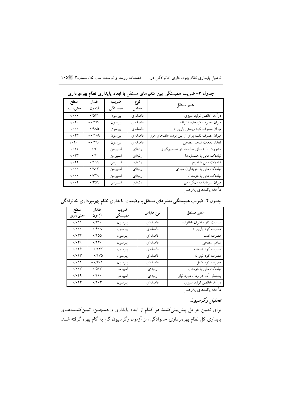|                                                       | جدول ۳– ضریب همبستگی بین متغیرهای مستقل با ابعاد پایداری نظام<br>بهرهبرداري |         |         |                                            |  |  |
|-------------------------------------------------------|-----------------------------------------------------------------------------|---------|---------|--------------------------------------------|--|--|
| سطح                                                   | مقدار                                                                       | ضريب    | نوع     | متغير مستقل                                |  |  |
| معنىدارى                                              | آزمون                                                                       | همبستگي | مقياس   |                                            |  |  |
| $\cdot/\cdot\cdot\cdot$                               | .7091                                                                       | پيرسون  | فاصلهاي | درأمد خالص توليد سبزى                      |  |  |
| $\cdot/\cdot$ ۴۶                                      | $- \cdot / \text{Y} \cdot$                                                  | پيرسون  | فاصلهاي | ميزان مصرف كودهاي نيتراته                  |  |  |
| $\cdot/\cdot\cdot\cdot$                               | .440                                                                        | پيرسون  | فاصلهاى | میزان مصرف کود زیستی بارور ۲               |  |  |
| $\cdot$ / $\cdot$ $\tau\tau$                          | $-\cdot/\lambda$ ۹                                                          | پيرسون  | فاصلهاى | میزان مصرف نفت برای از بین بردن علفهای هرز |  |  |
| $/ \cdot$ ٢۶                                          | $- \cdot 79.$                                                               | پيرسون  | فاصلهاي | تعداد دفعات شخم سطحي                       |  |  |
| $\cdot/\cdot$ \ \                                     | $\cdot$ /۳                                                                  | اسپيرمن | رتبهای  | مشورت با اعضای خانواده در تصمیم گیری       |  |  |
| $\boldsymbol{\cdot}/\boldsymbol{\cdot}$<br><br><br>Yr | $\cdot$ /۴                                                                  | اسپيرمن | رتبهای  | تبادلات مالی با همسایهها                   |  |  |
| $\cdot/\cdot$ ۴۴                                      | ۰/۲۹۹                                                                       | اسپيرمن | رتبهای  | تبادلات مالی با اقوام                      |  |  |
| $\cdot / \cdot \cdot$                                 | $\cdot/\Lambda\cdot\mathsf{r}$                                              | اسپيرمن | رتبهای  | تبادلات مالی با خریداران سبزی              |  |  |
| $\cdot/\cdot\cdot\cdot$                               | ۰/۷۲۸                                                                       | اسپيرمن | رتبهای  | تبادلات مالی با دوستان                     |  |  |
| $\cdot/\cdot\cdot\uparrow$                            | $\cdot$ / $\sim$ 09                                                         | اسپيرمن | رتبهای  | ميزان سرمايهٔ درونگروهي                    |  |  |

تحلیل پایداری نظام بهرهبرداری خانوادگی در… فصلنامه روستا و توسعه، سال ۱۵، شماره۳ @۱۰۵

مأخذ: يافتههاى پژوهش

| سطح<br>معنىدارى                  | مقدار<br>آزمون                                                           | ضريب<br>همبستگی | نوع مقياس | متغير مستقل               |
|----------------------------------|--------------------------------------------------------------------------|-----------------|-----------|---------------------------|
| $\cdot/\cdot$ \ \                | $\cdot/\tau\setminus\cdot$                                               | پيرسون          | فاصلهاي   | ساعات كار دختران خانواده  |
| $\cdot/\cdot\cdot\cdot$          | $\cdot$ / $\circ$ $\cdot$ $\wedge$                                       | پيرسون          | فاصلهاي   | مصرف كود بارور ٢          |
| $\cdot/\cdot$ ۳۴                 | $\cdot$ / $\circ$ $\circ$                                                | پيرسون          | فاصلهاي   | مصرف نفت                  |
| $\cdot/\cdot$ ۴۹                 | $\cdot$ /۲۴.                                                             | پيرسون          | فاصلهاي   | شخم سطحي                  |
| $\cdot/\cdot$ ۴۶                 | $-1797$                                                                  | پيرسون          | فاصلهاي   | مصرف كود فسفاته           |
| $\cdot/\cdot$ $\uparrow\uparrow$ | $ \boldsymbol{\cdot}$ / $\boldsymbol{\Upsilon} \vee \boldsymbol{\Delta}$ | پيرسون          | فاصلهاي   | مصرف كود نيتراته          |
| $\cdot/\cdot$ \ \                | $- \cdot / \mathfrak{r} \cdot \mathfrak{r}$                              | پيرسون          | فاصلهاي   | مصرف كود كامل             |
| $\cdot/\cdot\cdot\vee$           | .7017                                                                    | اسپيرمن         | رتبهای    | تبادلات مالی با دوستان    |
| $\cdot/\cdot$ ۴۹                 | $\cdot$ /۲۴.                                                             | اسپيرمن         | رتبهای    | بخشش آب در زمان مورد نیاز |
| $\cdot/\cdot$ $\uparrow\uparrow$ | .797                                                                     | پيرسون          | فاصلهاي   | درآمد خالص توليد سبزى     |

جدول ۴–ضریب همبستگی متغیرهای مستقل با وضعیت پایداری نظام بهرهبرداری خانوادگی

مأخذ: يافتههاى پژوهش

تحليل رگرسيون

برای تعیین عوامل پیش بینیکنندهٔ هر کدام از ابعاد پایداری و همچنین، تبیینکننـدههـای پایداری کل نظام بهرهبرداری خانوادگی، از آزمون رگرسیون گام به گام بهره گرفته شــد.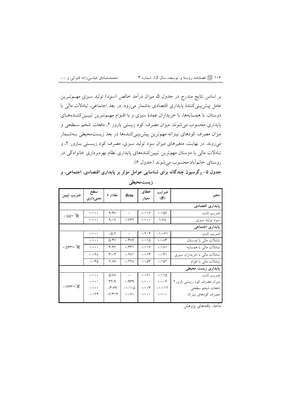۱۰۶ 『 فصلنامه روستا و توسعه، سال ۱۵، شماره ۳ ٬ سه محمدصادق عباسیزاده قنواتی و …

بر اساس نتایج مندرج در جدول ۵، میزان درآمد خالص (سود) تولید سبزی مهــمتــرین عامل پیش بینی کنندهٔ پایداری اقتصادی بهشمار می رود. در بعد اجتماعی، تبادلات مالی با دوستان، با همسایهها، با خریداران عمدهٔ سبزی و با اقــوام مهــمتــرین تبیــینکننــدهــای پایداری محسوب می شوند. میزان مصرف کود زیستی بارور ۲، دفعات شخم سـطحی و میزان مصرف کودهای نیتراته مهمترین پیش بینیکنندهها در بعد زیستمحیطی بـهشــمار میروند. در نهایت، متغیرهای میزان سود تولید سبزی، مصرف کود زیستی بـارور ۲، و تبادلات مالی با دوستان مهمترین تبیینکنندههای پایداری نظام بهرهبرداری خانوادگی در روستاي خانم آباد محسوب مي شوند (جدول ۶).

جدول ۵– رگرسیون چندگانه برای شناسایی عوامل مؤثر بر پایداری اقتصادی، اجتماعی، و زيستمحيطي

| ضريب تبيين          | سطح<br>معنیداری         | مقدار t                    | <b>Beta</b>                            | خطاى<br>معيار           | ضرايب<br>(B)                         | متغير                         |  |  |
|---------------------|-------------------------|----------------------------|----------------------------------------|-------------------------|--------------------------------------|-------------------------------|--|--|
| پايدارى اقتصادى     |                         |                            |                                        |                         |                                      |                               |  |  |
| $\cdot$ /00= $R$    | $\cdot/\cdot\cdot\cdot$ | 9/9V                       |                                        | ۱۶۰۱۰                   | $\cdot$ /10V                         | ضريب ثابت                     |  |  |
|                     | $\cdot/\cdot\cdot\cdot$ | 9/1                        | $\cdot$ / $\vee$ $\uparrow$ $\uparrow$ | $\cdot/\cdot\cdot\cdot$ | ۱/V۸                                 | سود تولید سبزی                |  |  |
| پایداری اجتماعی     |                         |                            |                                        |                         |                                      |                               |  |  |
|                     | $\cdot/\cdot\cdot\cdot$ | $-\Delta/\Upsilon$         | $\overline{\phantom{a}}$               | $\cdot$ /۲۰۴            | $-1/291$                             | ضريب ثابت                     |  |  |
|                     | $\cdot/\cdot\cdot\cdot$ | 5/4V                       | ۰/۴۷۶                                  | $\cdot/\cdot$ 10        | $\cdot/\cdot \wedge r$               | تبادلات مالی با دوستان        |  |  |
|                     | $\cdot/\cdot\cdot\cdot$ | ۴/۹۲                       | ۰/۴۳۱                                  | ۱۶۰۱۰                   | ۰/۰۸۱                                | تبادلات مالی با همسایه        |  |  |
|                     | $\cdot/\cdot$ YA        | $\mathbf{r}/\mathbf{r}$    | $\cdot$ /۲۷۱                           | ۱۳۰۱۰                   | ۰/۰۴۱                                | تبادلات مالی با خریداران سبزی |  |  |
|                     | ۲۰۴۵                    | Y/AY                       | $\cdot$ /۲۴ $\wedge$                   | $\cdot$ / $\cdot$ ۵۳    | ۱۵۲/۰                                | تبادلات مالی با اقوام         |  |  |
| پایداری زیست محیطی  |                         |                            |                                        |                         |                                      |                               |  |  |
|                     | $\cdot/\cdot\cdot\cdot$ | $\Delta$ /VA               | $ \,$                                  | $\cdot/\cdot$ $\cdot$   | ۱۱۵/۰                                | ضريب ثابت                     |  |  |
|                     | $\cdot/\cdot\cdot\cdot$ | $\mathcal{N}(\mathcal{A})$ | 479                                    | $\cdot/\cdot\cdot\cdot$ | $\cdot/\cdot\cdot$ $\mathbf{y}$      | میزان مصرف کود زیستی بارور۲   |  |  |
| $\cdot$ /94 $r = R$ | $\cdot/\cdot\cdot\cdot$ | $-\mathsf{r}/\mathsf{r}$   | $-\cdot/\wedge\cdot\vartriangle$       | $\cdot/\cdot\cdot$ ۳    | $- \cdot / \cdot \setminus \uparrow$ | دفعات شخم سطحي                |  |  |
|                     | $\cdot/\cdot$ ۲۴        | $-\frac{1}{\pi}$           | $\cdot/\cdot\vee\cdot$                 | $\cdot/\cdot\cdot\cdot$ | $\cdot/\cdot\cdot\cdot$              | مصرف كودهاي نيتراته           |  |  |
|                     |                         |                            |                                        |                         |                                      |                               |  |  |

مأخذ: يافتههاي پژوهش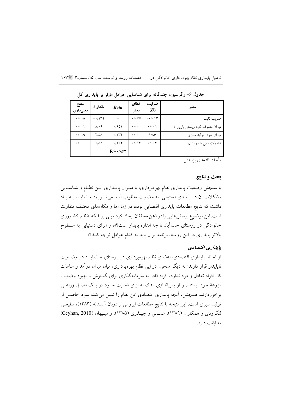| فصلنامه روستا و توسعه، سال ۱۵، شماره۳ ال | تحلیل پایداری نظام بهرهبرداری خانوادگی در… |
|------------------------------------------|--------------------------------------------|
|------------------------------------------|--------------------------------------------|

| سطح<br>معنىدارى                   | $t$ مقدار              | <b>Beta</b>              | خطاي<br>معيار                         | ضرايب<br>(B)       | متغير                        |
|-----------------------------------|------------------------|--------------------------|---------------------------------------|--------------------|------------------------------|
| $\cdot/\cdot\cdot\wedge$          | $-1157$                |                          | $\cdot$ / $\cdot$ VV                  | $-\cdot/\cdot$ \r  | ضر یب ثابت                   |
| $\cdot$ / $\cdot$ \               | $\Lambda$ <sup>1</sup> | .7801                    | $\bullet$ / $\bullet$ + $\bullet$     | $\cdot/\cdot\cdot$ | میزان مصرف کود زیستی بارور ۲ |
| $\cdot$ / $\cdot$ 19              | <b>Y/0A</b>            | $\cdot$ /۲۳۴             | $\bullet$ / $\bullet$ + $\bullet$     | ۱/۸۶               | میزان سود تولید سبزی         |
| $\bullet$ / $\bullet$ + $\bullet$ | <b>Y/QA</b>            | .7744                    | $\cdot$ / $\cdot$ $\uparrow \uparrow$ | $\cdot/\cdot$ ۳    | تبادلات مالی با دوستان       |
|                                   |                        | $R' = \cdot / \Lambda f$ |                                       |                    |                              |

جدول ۶- رگرسیون چندگانه برای شناسایی عوامل مؤثر بر پایداری کل

مأخذ: يافتههاى پژوهش

# بحث و نتايج

با سنجش وضعیت پایداری نظام بهرهبرداری، با میـزان پایــداری ایــن نظــام و شناســایـی مشکلات آن در راستای دستیابی به وضعیت مطلوب آشنا میشویم؛ امـا بایـد بــه یـاد داشت که نتایج مطالعات پایداری اقتضایی بوده، در زمانها و مکانهای مختلف متفاوت است. این موضوع پرسش هایی را در ذهن محققان ایجاد کرد مبنی بر آنکه «نظام کشاورزی خانوادگی در روستای خانمآباد تا چه اندازه پایدار است؟»، و «برای دستیابی به سـطوح بالاتر پایداری در این روستا، برنامهریزان باید به کدام عوامل توجه کنند؟».

#### ياپدارې اقتصادي

از لحاظ پایداری اقتصادی، اعضای نظام بهرهبرداری در روستای خانمآباد در وضـعیت ناپایدار قرار دارند؛ به دیگر سخن، در این نظام بهرهبرداری، میان میزان درآمد و ساعات کار افراد تعادل وجود ندارد، افراد قادر به سرمایهگذاری برای گسترش و بهبود وضعیت مزرعهٔ خود نیستند، و از پساندازی اندک به ازای فعالیت خـود در یـک فصـل زراعـی برخوردارند. همچنین، آنچه پایداری اقتصادی این نظام را تبیین میکند، سود حاصل از تولید سبزی است. این نتیجه با نتایج مطالعات ایروانی و دربان آسـتانه (۱۳۸۳)، مطیعـی لنگرودي و همكاران (۱۳۸۹)، عمـاني و چيــذري (۱۳۸۵)، و سِــيهان (Ceyhan, 2010) مطابقت دارد.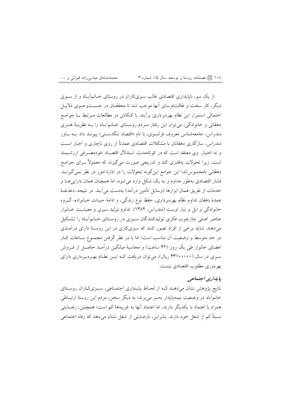#### ۱۰۸ ١٠ السلط دوستا و توسعه، سال ۱۵، شماره ۳

از یک سو، ناپایداری اقتصادی غالب سبزیکاران در روستای خــانـمآبــاد و از ســوی دیگر، کار سخت و طاقتفرسای آنها موجب شد تا محققــان در جســـتوجــوی دلایــل احتمالی استمرار این نظام بهرهبرداری برآیند. با کنکاش در مطالعات مـرتبط بــا جوامــع دهقانی و خانوادگی، میتوان این رفتار مـردم روسـتای خـانمآبـاد را بـه نظریـهٔ هنـری مندراس، جامعهشناس معروف فرانسوي، با نام «اقتصاد تنگدسـتي» پيونــد داد. بــه بــاور مندراس، سازگاری دهقانان با مشکلات اقتصادی عمدتاً از روی ناچاری و اجبار است و نه اختبار. وی معتقد است که در کو تاهمدت، استدلال اقتصـاد خودمصـرفی ارزشــمند است، زیرا تحولات بهقدری کند و تدریجی صورت می گیرند که معمولاً بـرای جوامـع دهقانی نامحسوساند؛ این جوامع اینگونه تحولات را در ادارهٔ امور در نظر نمیگیرنــد. فشار اقتصادی بهطور مداوم و به یک شکل وارد میشود، اما همچنان همان دارای<sub>ح</sub>هــا و خدمات از طریق همان ابزارها (وسایل تأمین درآمد) بهدست می]یند. در نتیجه، دغدغـهٔ عمدهٔ دهقان تداوم نظام بهرهبرداری، حفظ نوع زندگی، و ادامهٔ حیـات خـانواده، گــروه خانوادگی و ایل و تبار اوست (مندراس، ۱۳۸۴). تداوم تولید سبزی و معیشت خـانوار عناصر اصلی چارچوب فکری تولیدکنندگان سـبزی در روسـتای خـانمآبـاد را تشـکیل می،دهند. شاید برخی از افراد تصور کنند که سبزیکاری در این روسـتا دارای درآمـدی در حد متوسط و وضعیت آن مناسب است؛ اما با در نظر گرفتن مجمـوع ســاعات کــار اعضای خانوار طی یک روز (۴۲ ساعت) و محاسبهٔ میانگین درآمـد حاصـل از فـروش سبزی در سال (۴۳۱۰۰۰۰۰ ریال)، میتوان دریافت کـه ایــن نظـام بهــرهبـرداری دارای بهرهوري مطلوب اقتصادي نيست.

# بإيداري اجتماعي

نتایج پژوهش نشان میدهـد کـه از لحـاظ پایـداری اجتمـاعی، سـبزیکـاران روسـتای خانمآباد در وضعیت نیمهپایدار بهسر می برند؛ به دیگر سخن، مردم این روستا ارتبـاطی همراه با اعتماد با یکدیگر دارند، اما اعتماد آنها به غریبهها کم است؛ همچنین، رضـایتی نسبتاً کم از شغل خود دارند. بنابراین، نارضایتی از شغل نشان میدهد که رفاه اجتماعی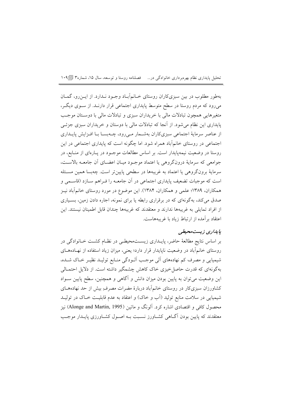تحلیل پایداری نظام بهرهبرداری خانوادگی در… فصلنامه روستا و توسعه، سال ۱۵، شماره۳ [¶۱۰۹

بهطور مطلوب در بین سبزیکاران روستای خــانـمآبــاد وجــود نــدارد. از ایــن(و، گـمــان میرود که مردم روستا در سطح متوسط پایداری اجتماعی قرار دارنـد. از سـوی دیگـر، متغیرهایی همچون تبادلات مالی با خریداران سبزی و تبادلات مالی با دوستان موجب پایداری این نظام میشود. از آنجا که تبادلات مالی با دوستان و خریداران سبزی جزئـی از عناصر سرمایهٔ اجتماعی سبزیکاران بهشـمار مـیرود، چــهبســا بــا افــزایش پایــداری اجتماعی در روستای خانمآباد همراه شود. اما چگونه است که پایداری اجتماعی در این روستا در وضعیت نیمهیایدار است. بر اساس مطالعات موجـود در یـارهای از منـابع، در جوامعي كه سرماية درونگروهي يا اعتماد موجـود ميـان اعضـاي أن جامعــه بالاســت، سرمایهٔ برونگروهی یا اعتماد به غریبهها در سطحی پایینتر است. چهبسا همین مسئله است که موجبات تضعیف پایداری اجتماعی در آن جامعـه را فـراهم سـازد (قاسـمی و همکاران، ۱۳۸۹؛ علمی و همکاران، ۱۳۸۴). این موضوع در مورد روستای خانمآباد نیـز صدق میکند، بهگونهای که در برقراری رابطه یا برای نمونه، اجاره دادن زمین، بسـیاری از افراد تمایلی به غریبهها ندارند و معتقدند که غریبهها چندان قابل اطمینان نیستند. این اعتقاد بر آمده از ارتباط زیاد با غریبههاست.

### يايداري زيست محيطي

بر اساس نتایج مطالعهٔ حاضر، پایـداری زیسـتمحیطـی در نظـام کشـت خـانوادگی در روستای خانمآباد در وضعیت ناپایدار قرار دارد؛ یعنی، میزان زیاد استفاده از نهادههای شیمیایی و مصرف کم نهادههای آلمی موجب آلـودگی منـابع تولیـد نظیـر خـاک شـده، بهگونهای که قدرت حاصل خیزی خاک کاهش چشمگیر داشته است. از دلایل احتمـالی این وضعیت میتوان به پایین بودن میزان دانش و آگاهی و همچنین، سطح پایین سـواد کشاورزان سبزیکار در روستای خانمآباد دربارهٔ مضرات مصرف ِبیش از حد نهادههــای شیمیایی در سلامت منابع تولید (اَب و خاک) و اعتقاد به عدم قابلیـت خــاک در تولیــد محصول کافی و اقتصادی اشاره کرد. اَلونگ و ماتین (Alonge and Martin, 1995) نیز معتقدند که پایین بودن آگــاهی کشــاورز نسـبت بــه اصــول کشــاورزی پایــدار موجــب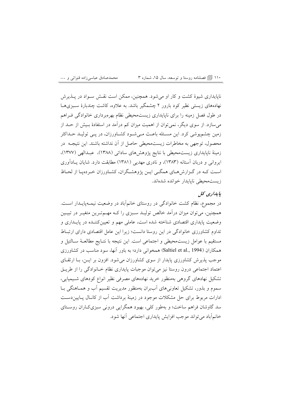#### ۱۱۰ ۱۱ نوع اسلنامه روستا و توسعه، سال ۱۵، شماره ۳

ناپایداری شیوهٔ کشت و کار او می شود. همچنین، ممکن است نقسش سیواد در پیذیرش نهادههای زیستی نظیر کود بارور ۲ چشمگیر باشد. به علاوه، کاشت چندبارهٔ سـبزیهــا در طول فصل زمینه را برای ناپایداری زیستمحیطی نظام بهرهبرداری خانوادگی فـراهم می سازد. از سوی دیگر، نمی توان از اهمیت میزان کم درآمد در استفادهٔ بـیش از حــد از زمین چشمپوشی کرد. این مسـئله باعـث مـیشـود کشـاورزان، در یـی تولیـد حـداکثر محصول، توجهي به مخاطرات زيستمحيطي حاصل از آن نداشته باشند. اين نتيجــه در زمینهٔ ناپایداری زیستمحیطی با نتایج یژوهش های ساداتی (۱۳۸۸)، عبدالهی (۱۳۷۷)، ایروانی و دریان آستانه (۱۳۸۳)، و نادری مهدیی (۱۳۸۱) مطابقت دارد. شایان پـادآوری است کـه در گـزارش،هـاي همگـي ايـن پژوهشـگران، کشـاورزان خـردهپـا از لحـاظ زيست محبطي ناپايدار خوانده شدهاند.

# یا پدارې کل

در مجموع، نظام کشت خانوادگی در روستای خانمآباد در وضعیت نیمـهیایـدار اسـت. همچنین، میتوان میزان درآمد خالص تولیـد سـبزی را کـه مهـمترین متغیـر در تبیـین وضعیت پایداری اقتصادی شناخته شده است، عاملی مهم و تعیین کننـده در پایـداری و تداوم کشاورزی خانوادگی در این روستا دانست؛ زیرا این عامل اقتصادی دارای ارتبـاط مستقيم با عوامل زيست.حيطي و اجتماعي است. اين نتيجه با نتــايج مطالعــهٔ ســالتيل و همکاران (Saltiel et al., 1994) همخوانی دارد؛ به باور آنها، سود مناسب در کشاورزی موجب پذیرش کشاورزی پایدار از سوی کشاورزان می شود. افزون بر ایـن، بــا ارتقــای اعتماد اجتماعی درون روستا نیز می توان موجبات پایداری نظام خـانوادگی را از طریـق تشکیل نهادهای گروهی بهمنظور خرید نهادههای مصرفی نظیر انواع کودهای شـیمیایی، سموم و بذور، تشکیل تعاونی های اَببران بهمنظور مدیریت تقسیم اَب و همـاهنگی بـا ادارات مربوط برای حل مشکلات موجود در زمینهٔ برداشت آب از کانـال پـایین،دسـت سد گاوشان فراهم ساخت؛ و بهطور کلی، بهبود همگرایی درونی سبزیکاران روستای خانماًباد مي تواند موجب افزايش پايداري اجتماعي آنها شود.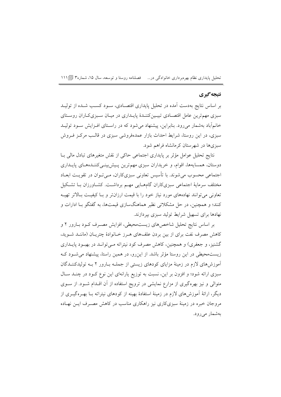تحلیل پایداری نظام بهرهبرداری خانوادگی در… فصلنامه روستا و توسعه، سال ۱۵، شماره۳ [1۱۱

## نتيجه گيري

بر اساس نتایج بهدست آمده در تحلیل پایداری اقتصـادی، سـود کسـب شـده از تولیــد سبزی مهمترین عامل اقتصـادی تبیـینکننـدهٔ پایـداری در میـان سـبزیکـاران روسـتای خانمآباد بهشمار میرود. بنابراین، پیشنهاد میشود که در راستای افـزایش سـود تولیـد سبزی، در این روستا، شرایط احداث بازار عمدهفروشی سبزی در قالب مرکـز فـروش سبزیها در شهرستان کرمانشاه فراهم شود.

نتايج تحليل عوامل مؤثر بر پايداري اجتماعي حاكي از نقش متغيرهاي تبادل مالي بــا دوستان، همسایهها، اقوام، و خریداران سبزی مهم ترین پیش بینسی کننـدههـای پایـداری اجتماعی محسوب می شوند. با تأسیس تعاونی سبزیکاران، مـیتوان در تقویـت ابعـاد مختلف سرمایهٔ اجتماعی سبزیکاران گامهـایی مهـم برداشــت. کشــاورزان بــا تشـکیل تعاونی می توانند نهادههای مورد نیاز خود را با قیمت ارزان تر و بـا کیفیــت بـالاتر تهیــه کنند؛ و همچنین، در حل مشکلاتی نظیر هماهنگسازی قیمتها، به گفتگو بـا ادارات و .<br>نهادها برای تسهیل شرایط تولید سبزی بیردازند.

بر اساس نتایج تحلیل شاخصهای زیستمحیطی، افزایش مصرف کـود بـارور ۲ و كاهش مصرف نفت براي از بين بردن علفهاي هـرز خـانوادهٔ چتريـان (ماننـد شـويد، گشنیز، و جعفری) و همچنین، کاهش مصرف کود نیتراته مـیتوانــد در بهبـود پایــداری زیست محیطی در این روستا مؤثر باشد. از این رو، در همین راستا، پیشنهاد می شـود کـه آموزشهای لازم در زمینهٔ مزایای کودهای زیستی از جملـه بـارور ۲ بـه تولیدکننـدگان سبزی ارائه شود؛ و افزون بر این، نسبت به توزیع پارانهای این نوع کـود در چنــد سـال متوالی و نیز بهرهگیری از مزارع نمایشی در ترویج استفاده از آن اقلدام شـود. از سـوی دیگر، ارائهٔ اَموزشهای لازم در زمینهٔ استفادهٔ بهینه از کودهای نیتراته بــا بهــرهگیــری از مروجان خبره در زمینهٔ سبزیکاری نیز راهکاری مناسب در کاهش مصـرف ایــن نهــاده بەشمار مىرود.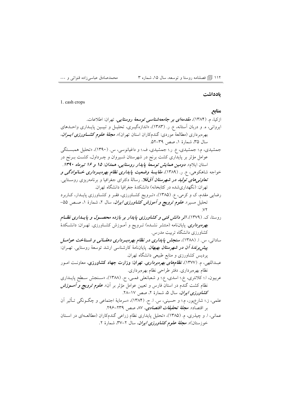#### ۱۱۲ [آ] فصلنامه روستا و توسعه، سال ۱۵، شماره ۳

#### بادداشت

1. cash crops

منابع ازکیا، م. (۱۳۸۴)، *مقدمهای بر جامعهشناسی توسعهٔ روستایی.* تهران: اطلاعات. ایروانی، ه. و دربان آستانه، ع. ر. (۱۳۸۳)، «اندازهگیری، تحلیـل و تبیـین پایـداری واحـدهای بهرهبرداری (مطالعهٔ موردی: گندمکاران استان تهران)». مجلهٔ عل*وم کشــاورزی ایــران*، سال ٣۵، شمارة ١، صص ٣٩-٥٢. جمشیدی، م.؛ جمشیدی، ع. ر.؛ جمشیدی، ف.؛ و داغیانوسی، س. (۱۳۹۰)، «تحلیل همبستگی عوامل مؤثر بر پایداری کشت برنج در شهرستان شـیروان و چـرداول، کشـت بـرنج در استان ایلام». *دومین همایش توسعهٔ پایدار روستایی، همدان: ۱۵ و ۱۶ تیرماه ۱۳۹۰*. خواجه شاهکوهی، ع. ر. (۱۳۸۹)، *مقایسهٔ وضعیت پایداری نظام بهرهبـرداری خــانوادگی و* <mark>تع*اونی های تولید در شهرستان آق*قلا</mark>. رسالهٔ دکترای جغرافیا و برنامهریزی روسـتایی. تهران: (نگهداریشده در کتابخانه) دانشکدهٔ جغرافیا دانشگاه تهران. رضایی مقدم، ک و کرمی، ع. (۱۳۸۵)، «تـرویج کشـاورزی، فقـر و کشـاورزی پایـدار، کـاربرد تحلیل مسیر». *علوم ترویج و آموزش کشاورزی ایران*، سال ۲، شمارهٔ ۱، صـص ۵۵– روستا، ک. (۱۳۷۹)، *اثر دانش فنی و کشاورزی پایدار بر بازده محصول و پایسداری نظ*ام بهر*ه برداری.* پایاننامه (منتشر نشـده) تـرویج و آمـوزش کشـاورزی. تهـران: دانشـکدهٔ کشاورزی دانشگاه تربیت مدرس. سادات<sub>ی</sub>، س. ا. (۱۳۸۸)، **سنجش پاید***اری در نظام بهرهبرداری دهقسانی و شسناخت عوامسل* **پیش** *برندهٔ آن در شهرستان بهبهان***.** پایاننامهٔ کارشناسی ارشد توسعهٔ روستایی. تهـران: یردیس کشاورزی و منابع طبیعی دانشگاه تهران. عبــداللهی، م. (۱۳۷۷)، *نظامهای بهرهبرداری*. تهران: وزارت جهاد کشاورزی، معاونـت اسـور نظام بهرەبردارى. دفتر طراحى نظام بهرەبردارى. عربيون، ا.؛ كلانترى، خ.؛ اسدى، ع.؛ و شعبانعلى فمـي، ح. (١٣٨٨)، «سـنجش سـطح پايــدارى نظام کشت گندم در استان فارس و تعیین عوامل مؤثر بر آن». *علوم ترویج و أمــوزش* کش*اورزی ایران*، سال ۵، شمارهٔ ۲، صص ۲۸–۲۸. علمی، ز.؛ شارعٖپور، م.؛ و حسینی، س. ا. ح. (۱۳۸۴)، «سرمایهٔ اجتماعی و چگــونگی تــأثیر آن بر اقتصاد». م*جلة تحقيقات اقتصادى*، ۸۷ صص ۲۳۹–۲۹۶. عمانی، ا. و چیذری، م. (۱۳۸۵)، «تحلیل پایداری نظام زراعی گندمکاران (مطالعـهای در اسـتان خوزستان)». م*جلة علوم كشاورزى ايران*، سال ۲–۳۷، شمارهٔ ۲.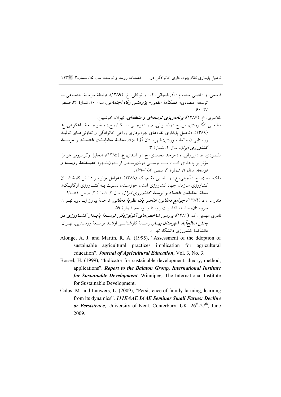تحلیل پایداری نظام بهرهبرداری خانوادگی در… فصلنامه روستا و توسعه، سال ۱۵، شماره۳ [] ۱۱۳

قاسمي، و.؛ اديبي سده، م.؛ آذربايجاني، ک.؛ و توکلي، خ. (١٣٨٩)، «رابطة سرماية اجتمـاعي بـا توسعهٔ اقتصادی». فص*لنامهٔ علمی- پژوهشی رفاه اجتماعی*، سال ۱۰، شمارهٔ ۳۶، صص  $9. - YV$ کلانتری، خ. (۱۳۸۷)، **برن***امه***ریز***ی توسعهای و منطقهای***.** تهران: خوشبین. مطيعــي لنگــرودي، س. ح.؛ رضــواني، م. ر.؛ فرجــي ســبكبار، ح.؛ و خواجــه شــاهكوهي، ع. .<br>(۱۳۸۹)، «تحلیل پایداری نظامهای بهرهبرداری زراعی خانوادگی و تعاونیهـای تولیــد روستايي (مطالعهٔ مـوردي: شهرسـتان اّقEلا)». معجلــهٔ تحقیقـــ*ات اقتصـــاد و توســـعهٔ* کش*اورزی ایران*، سال ۲، شمارهٔ ۳. مقصودي، ط.؛ ايرواني، ه.؛ موحد محمدي، ح.؛ و اسدي، ع. (١٣٨٥)، «تحليل رگرسيوني عوامل مؤثر بر پایداری کشت سـیبزمینـی درشهرسـتان فریــدونشــهر». *فصــلنامهٔ روســتا و* توسعه، سال ۹، شمارهٔ ۳، صص ۱۵۳–۱۶۹. ملکسعیدی، ح.؛ آجیلی، ع.؛ و رضایی مقدم، ک. (۱۳۸۸)، «عوامل مؤثر بـر دانــش کارشناســان کشاورزی سازمان جهاد کشاورزی استان خوزسـتان نسـبت بـه کشـاورزی ارگانیـک». م*جلهٔ تحقیقات اقتصاد و توسعهٔ کشاورزی ایران*، سال ۲، شمارهٔ ۲، صص ۸۱–۹۱. مندراس، ه. (۱۳۸۴)، *جوامع دهقانی: عناصر یک نظریهٔ دهقانی.* ترجمهٔ پیروز ایــزدی. تهــران: سروستان، سلسله انتشارات روستا و توسعه، شمارهٔ ۵۹. نادری مهدیی، ک. (۱۳۸۱)، برر*سی شاخص های اکولوژیکی توســعهٔ پایــدار کشــاورزی د*ر ب*خش صالح|َباد شهرستان بهــار.* رســالهٔ کارشناســی ارشــد توســعهٔ روســتایـی. تهــران: دانشکدهٔ کشاورزی دانشگاه تهران.

- Alonge, A. J. and Martin, R. A. (1995), "Assessment of the ddoption of sustainable agricultural practices implication for agricultural education". Journal of Agricultural Education, Vol. 3, No. 3.
- Bossel, H. (1999), "Indicator for sustainable development: theory, method, applications". Report to the Balaton Group, International Institute for Sustainable Development. Winnipeg: The International Institute for Sustainable Development.
- Calus, M. and Lauwers, L. (2009), "Persistence of family farming, learning from its dynamics". 111EAAE IAAE Seminar Small Farms: Decline or Persistence, University of Kent. Conterbury, UK, 26<sup>th</sup>-27<sup>th</sup>, June 2009.